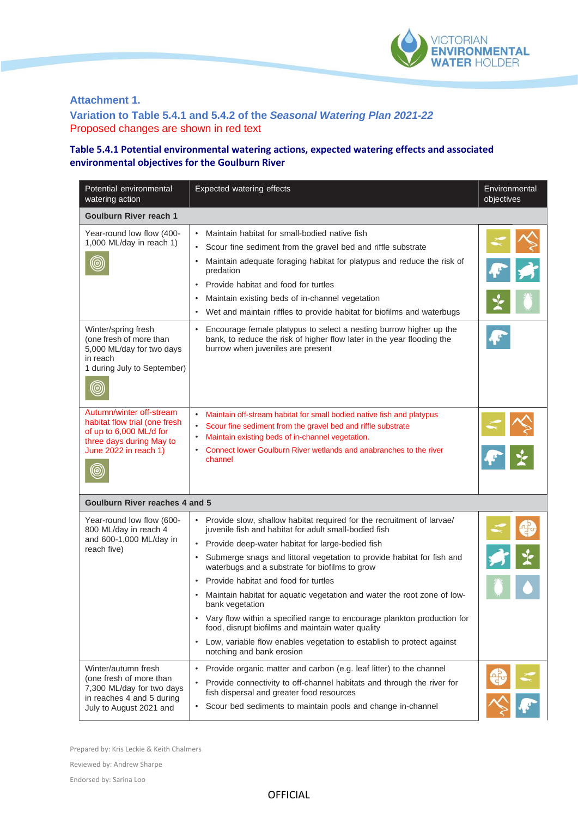

## **Attachment 1.**

**Variation to Table 5.4.1 and 5.4.2 of the** *Seasonal Watering Plan 2021-22* Proposed changes are shown in red text

## **Table 5.4.1 Potential environmental watering actions, expected watering effects and associated environmental objectives for the Goulburn River**

| Potential environmental<br>watering action                                                                                                | <b>Expected watering effects</b>                                                                                                                                                                                                                                                                                                                                                                                                                                                                                                                                                                                                                                                                                       | Environmental<br>objectives |  |  |  |
|-------------------------------------------------------------------------------------------------------------------------------------------|------------------------------------------------------------------------------------------------------------------------------------------------------------------------------------------------------------------------------------------------------------------------------------------------------------------------------------------------------------------------------------------------------------------------------------------------------------------------------------------------------------------------------------------------------------------------------------------------------------------------------------------------------------------------------------------------------------------------|-----------------------------|--|--|--|
| <b>Goulburn River reach 1</b>                                                                                                             |                                                                                                                                                                                                                                                                                                                                                                                                                                                                                                                                                                                                                                                                                                                        |                             |  |  |  |
| Year-round low flow (400-<br>1,000 ML/day in reach 1)                                                                                     | Maintain habitat for small-bodied native fish<br>$\bullet$<br>Scour fine sediment from the gravel bed and riffle substrate<br>$\bullet$<br>Maintain adequate foraging habitat for platypus and reduce the risk of<br>$\bullet$<br>predation<br>Provide habitat and food for turtles<br>$\bullet$<br>Maintain existing beds of in-channel vegetation<br>$\bullet$<br>Wet and maintain riffles to provide habitat for biofilms and waterbugs                                                                                                                                                                                                                                                                             |                             |  |  |  |
| Winter/spring fresh<br>(one fresh of more than<br>5,000 ML/day for two days<br>in reach<br>1 during July to September)<br>◉               | Encourage female platypus to select a nesting burrow higher up the<br>bank, to reduce the risk of higher flow later in the year flooding the<br>burrow when juveniles are present                                                                                                                                                                                                                                                                                                                                                                                                                                                                                                                                      |                             |  |  |  |
| Autumn/winter off-stream<br>habitat flow trial (one fresh<br>of up to 6,000 ML/d for<br>three days during May to<br>June 2022 in reach 1) | $\bullet$<br>Maintain off-stream habitat for small bodied native fish and platypus<br>Scour fine sediment from the gravel bed and riffle substrate<br>$\bullet$<br>Maintain existing beds of in-channel vegetation.<br>$\bullet$<br>Connect lower Goulburn River wetlands and anabranches to the river<br>$\bullet$<br>channel                                                                                                                                                                                                                                                                                                                                                                                         |                             |  |  |  |
| <b>Goulburn River reaches 4 and 5</b>                                                                                                     |                                                                                                                                                                                                                                                                                                                                                                                                                                                                                                                                                                                                                                                                                                                        |                             |  |  |  |
| Year-round low flow (600-<br>800 ML/day in reach 4<br>and 600-1,000 ML/day in<br>reach five)                                              | • Provide slow, shallow habitat required for the recruitment of larvae/<br>juvenile fish and habitat for adult small-bodied fish<br>Provide deep-water habitat for large-bodied fish<br>$\bullet$<br>Submerge snags and littoral vegetation to provide habitat for fish and<br>$\bullet$<br>waterbugs and a substrate for biofilms to grow<br>Provide habitat and food for turtles<br>Maintain habitat for aquatic vegetation and water the root zone of low-<br>bank vegetation<br>Vary flow within a specified range to encourage plankton production for<br>food, disrupt biofilms and maintain water quality<br>Low, variable flow enables vegetation to establish to protect against<br>notching and bank erosion |                             |  |  |  |
| Winter/autumn fresh<br>(one fresh of more than<br>7,300 ML/day for two days<br>in reaches 4 and 5 during<br>July to August 2021 and       | Provide organic matter and carbon (e.g. leaf litter) to the channel<br>$\bullet$<br>Provide connectivity to off-channel habitats and through the river for<br>$\bullet$<br>fish dispersal and greater food resources<br>Scour bed sediments to maintain pools and change in-channel<br>$\bullet$                                                                                                                                                                                                                                                                                                                                                                                                                       |                             |  |  |  |

Prepared by: Kris Leckie & Keith Chalmers

Reviewed by: Andrew Sharpe

Endorsed by: Sarina Loo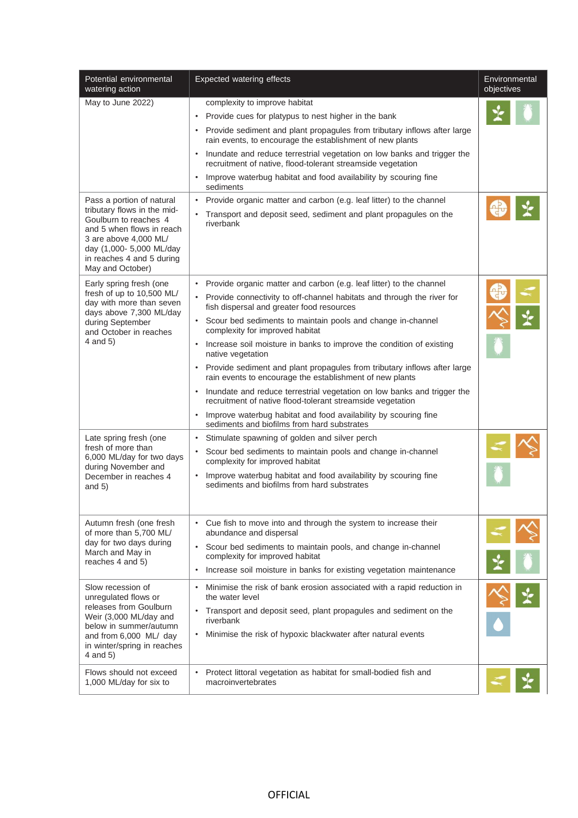| Potential environmental<br>watering action                                                                                                                                                   | <b>Expected watering effects</b>                                                                                                                                                                                                                                                                                                                                                                                                                                                                                                                                                                                                                                                                                                                                                                       | Environmental<br>objectives |
|----------------------------------------------------------------------------------------------------------------------------------------------------------------------------------------------|--------------------------------------------------------------------------------------------------------------------------------------------------------------------------------------------------------------------------------------------------------------------------------------------------------------------------------------------------------------------------------------------------------------------------------------------------------------------------------------------------------------------------------------------------------------------------------------------------------------------------------------------------------------------------------------------------------------------------------------------------------------------------------------------------------|-----------------------------|
| May to June 2022)<br>Pass a portion of natural<br>tributary flows in the mid-                                                                                                                | complexity to improve habitat<br>• Provide cues for platypus to nest higher in the bank<br>• Provide sediment and plant propagules from tributary inflows after large<br>rain events, to encourage the establishment of new plants<br>• Inundate and reduce terrestrial vegetation on low banks and trigger the<br>recruitment of native, flood-tolerant streamside vegetation<br>Improve waterbug habitat and food availability by scouring fine<br>sediments<br>• Provide organic matter and carbon (e.g. leaf litter) to the channel                                                                                                                                                                                                                                                                |                             |
| Goulburn to reaches 4<br>and 5 when flows in reach<br>3 are above 4,000 ML/<br>day (1,000- 5,000 ML/day<br>in reaches 4 and 5 during<br>May and October)                                     | • Transport and deposit seed, sediment and plant propagules on the<br>riverbank                                                                                                                                                                                                                                                                                                                                                                                                                                                                                                                                                                                                                                                                                                                        |                             |
| Early spring fresh (one<br>fresh of up to 10,500 ML/<br>day with more than seven<br>days above 7,300 ML/day<br>during September<br>and October in reaches<br>$4$ and $5)$                    | • Provide organic matter and carbon (e.g. leaf litter) to the channel<br>• Provide connectivity to off-channel habitats and through the river for<br>fish dispersal and greater food resources<br>• Scour bed sediments to maintain pools and change in-channel<br>complexity for improved habitat<br>• Increase soil moisture in banks to improve the condition of existing<br>native vegetation<br>• Provide sediment and plant propagules from tributary inflows after large<br>rain events to encourage the establishment of new plants<br>Inundate and reduce terrestrial vegetation on low banks and trigger the<br>recruitment of native flood-tolerant streamside vegetation<br>Improve waterbug habitat and food availability by scouring fine<br>sediments and biofilms from hard substrates |                             |
| Late spring fresh (one<br>fresh of more than<br>6,000 ML/day for two days<br>during November and<br>December in reaches 4<br>and $5)$                                                        | • Stimulate spawning of golden and silver perch<br>• Scour bed sediments to maintain pools and change in-channel<br>complexity for improved habitat<br>• Improve waterbug habitat and food availability by scouring fine<br>sediments and biofilms from hard substrates                                                                                                                                                                                                                                                                                                                                                                                                                                                                                                                                |                             |
| Autumn fresh (one fresh<br>of more than 5,700 ML/<br>day for two days during<br>March and May in<br>reaches 4 and 5)                                                                         | • Cue fish to move into and through the system to increase their<br>abundance and dispersal<br>Scour bed sediments to maintain pools, and change in-channel<br>$\bullet$<br>complexity for improved habitat<br>Increase soil moisture in banks for existing vegetation maintenance<br>$\bullet$                                                                                                                                                                                                                                                                                                                                                                                                                                                                                                        |                             |
| Slow recession of<br>unregulated flows or<br>releases from Goulburn<br>Weir (3,000 ML/day and<br>below in summer/autumn<br>and from 6,000 ML/ day<br>in winter/spring in reaches<br>4 and 5) | • Minimise the risk of bank erosion associated with a rapid reduction in<br>the water level<br>• Transport and deposit seed, plant propagules and sediment on the<br>riverbank<br>• Minimise the risk of hypoxic blackwater after natural events                                                                                                                                                                                                                                                                                                                                                                                                                                                                                                                                                       |                             |
| Flows should not exceed<br>1,000 ML/day for six to                                                                                                                                           | Protect littoral vegetation as habitat for small-bodied fish and<br>$\bullet$<br>macroinvertebrates                                                                                                                                                                                                                                                                                                                                                                                                                                                                                                                                                                                                                                                                                                    |                             |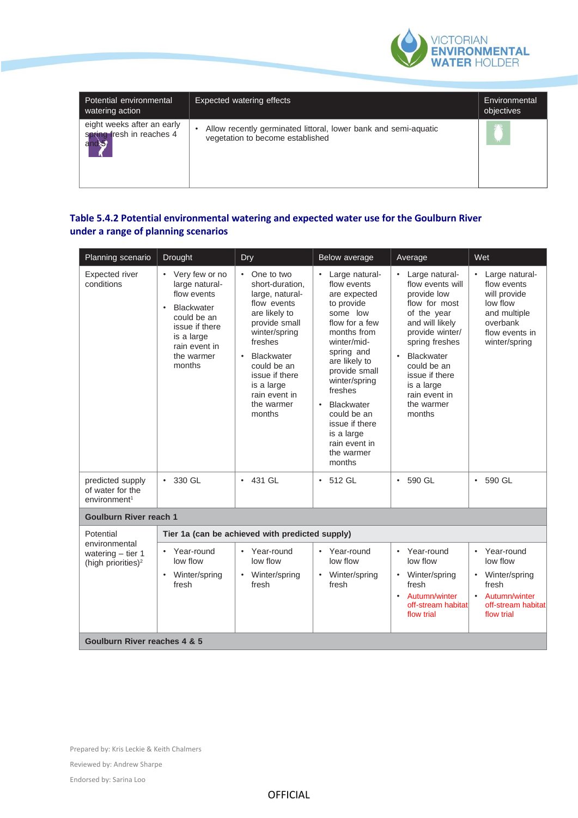

| Potential environmental<br>watering action                       | Expected watering effects                                                                           | Environmental<br>objectives |
|------------------------------------------------------------------|-----------------------------------------------------------------------------------------------------|-----------------------------|
| eight weeks after an early<br>spring fresh in reaches 4<br>and S | Allow recently germinated littoral, lower bank and semi-aquatic<br>vegetation to become established |                             |

## **Table 5.4.2 Potential environmental watering and expected water use for the Goulburn River under a range of planning scenarios**

| Planning scenario                                                      | Drought                                                                                                                                                                     | Dry                                                                                                                                                                                                                                                     | Below average                                                                                                                                                                                                                                                                                                                   | Average                                                                                                                                                                                                                                                      | Wet                                                                                                                             |
|------------------------------------------------------------------------|-----------------------------------------------------------------------------------------------------------------------------------------------------------------------------|---------------------------------------------------------------------------------------------------------------------------------------------------------------------------------------------------------------------------------------------------------|---------------------------------------------------------------------------------------------------------------------------------------------------------------------------------------------------------------------------------------------------------------------------------------------------------------------------------|--------------------------------------------------------------------------------------------------------------------------------------------------------------------------------------------------------------------------------------------------------------|---------------------------------------------------------------------------------------------------------------------------------|
| Expected river<br>conditions                                           | • Very few or no<br>large natural-<br>flow events<br><b>Blackwater</b><br>$\bullet$<br>could be an<br>issue if there<br>is a large<br>rain event in<br>the warmer<br>months | One to two<br>short-duration.<br>large, natural-<br>flow events<br>are likely to<br>provide small<br>winter/spring<br>freshes<br><b>Blackwater</b><br>$\bullet$<br>could be an<br>issue if there<br>is a large<br>rain event in<br>the warmer<br>months | • Large natural-<br>flow events<br>are expected<br>to provide<br>some low<br>flow for a few<br>months from<br>winter/mid-<br>spring and<br>are likely to<br>provide small<br>winter/spring<br>freshes<br><b>Blackwater</b><br>$\bullet$<br>could be an<br>issue if there<br>is a large<br>rain event in<br>the warmer<br>months | Large natural-<br>flow events will<br>provide low<br>flow for most<br>of the year<br>and will likely<br>provide winter/<br>spring freshes<br>Blackwater<br>$\bullet$<br>could be an<br>issue if there<br>is a large<br>rain event in<br>the warmer<br>months | Large natural-<br>flow events<br>will provide<br>low flow<br>and multiple<br>overbank<br>flow events in<br>winter/spring        |
| predicted supply<br>of water for the<br>environment <sup>1</sup>       | $\cdot$ 330 GL                                                                                                                                                              | $\cdot$ 431 GL                                                                                                                                                                                                                                          | $\cdot$ 512 GL                                                                                                                                                                                                                                                                                                                  | $\cdot$ 590 GL                                                                                                                                                                                                                                               | 590 GL<br>$\bullet$                                                                                                             |
| <b>Goulburn River reach 1</b>                                          |                                                                                                                                                                             |                                                                                                                                                                                                                                                         |                                                                                                                                                                                                                                                                                                                                 |                                                                                                                                                                                                                                                              |                                                                                                                                 |
| Potential                                                              | Tier 1a (can be achieved with predicted supply)                                                                                                                             |                                                                                                                                                                                                                                                         |                                                                                                                                                                                                                                                                                                                                 |                                                                                                                                                                                                                                                              |                                                                                                                                 |
| environmental<br>watering $-$ tier 1<br>(high priorities) <sup>2</sup> | Year-round<br>low flow<br>Winter/spring<br>$\bullet$<br>fresh                                                                                                               | Year-round<br>low flow<br>Winter/spring<br>fresh                                                                                                                                                                                                        | Year-round<br>$\bullet$<br>low flow<br>Winter/spring<br>$\bullet$<br>fresh                                                                                                                                                                                                                                                      | Year-round<br>$\bullet$<br>low flow<br>Winter/spring<br>$\bullet$<br>fresh<br>Autumn/winter<br>$\bullet$<br>off-stream habitat<br>flow trial                                                                                                                 | Year-round<br>$\bullet$<br>low flow<br>Winter/spring<br>$\bullet$<br>fresh<br>Autumn/winter<br>off-stream habitat<br>flow trial |
| Goulburn River reaches 4 & 5                                           |                                                                                                                                                                             |                                                                                                                                                                                                                                                         |                                                                                                                                                                                                                                                                                                                                 |                                                                                                                                                                                                                                                              |                                                                                                                                 |